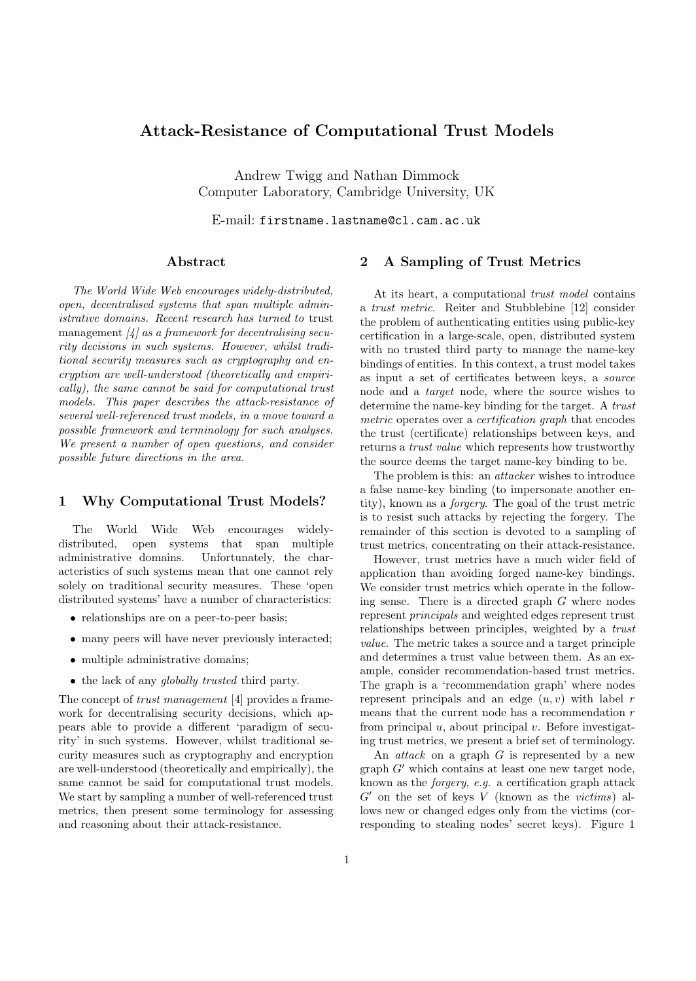# Attack-Resistance of Computational Trust Models

Andrew Twigg and Nathan Dimmock Computer Laboratory, Cambridge University, UK

E-mail: firstname.lastname@cl.cam.ac.uk

# Abstract

The World Wide Web encourages widely-distributed, open, decentralised systems that span multiple administrative domains. Recent research has turned to trust management  $\left[\frac{1}{4}\right]$  as a framework for decentralising security decisions in such systems. However, whilst traditional security measures such as cryptography and encryption are well-understood (theoretically and empirically), the same cannot be said for computational trust models. This paper describes the attack-resistance of several well-referenced trust models, in a move toward a possible framework and terminology for such analyses. We present a number of open questions, and consider possible future directions in the area.

## 1 Why Computational Trust Models?

The World Wide Web encourages widelydistributed, open systems that span multiple administrative domains. Unfortunately, the characteristics of such systems mean that one cannot rely solely on traditional security measures. These 'open distributed systems' have a number of characteristics:

- relationships are on a peer-to-peer basis;
- many peers will have never previously interacted;
- multiple administrative domains;
- the lack of any *globally trusted* third party.

The concept of *trust management* [4] provides a framework for decentralising security decisions, which appears able to provide a different 'paradigm of security' in such systems. However, whilst traditional security measures such as cryptography and encryption are well-understood (theoretically and empirically), the same cannot be said for computational trust models. We start by sampling a number of well-referenced trust metrics, then present some terminology for assessing and reasoning about their attack-resistance.

# 2 A Sampling of Trust Metrics

At its heart, a computational trust model contains a trust metric. Reiter and Stubblebine [12] consider the problem of authenticating entities using public-key certification in a large-scale, open, distributed system with no trusted third party to manage the name-key bindings of entities. In this context, a trust model takes as input a set of certificates between keys, a source node and a target node, where the source wishes to determine the name-key binding for the target. A trust metric operates over a certification graph that encodes the trust (certificate) relationships between keys, and returns a trust value which represents how trustworthy the source deems the target name-key binding to be.

The problem is this: an *attacker* wishes to introduce a false name-key binding (to impersonate another entity), known as a forgery. The goal of the trust metric is to resist such attacks by rejecting the forgery. The remainder of this section is devoted to a sampling of trust metrics, concentrating on their attack-resistance.

However, trust metrics have a much wider field of application than avoiding forged name-key bindings. We consider trust metrics which operate in the following sense. There is a directed graph G where nodes represent principals and weighted edges represent trust relationships between principles, weighted by a trust value. The metric takes a source and a target principle and determines a trust value between them. As an example, consider recommendation-based trust metrics. The graph is a 'recommendation graph' where nodes represent principals and an edge  $(u, v)$  with label r means that the current node has a recommendation  $r$ from principal  $u$ , about principal  $v$ . Before investigating trust metrics, we present a brief set of terminology.

An *attack* on a graph  $G$  is represented by a new graph  $G'$  which contains at least one new target node, known as the forgery, e.g. a certification graph attack  $G'$  on the set of keys V (known as the victims) allows new or changed edges only from the victims (corresponding to stealing nodes' secret keys). Figure 1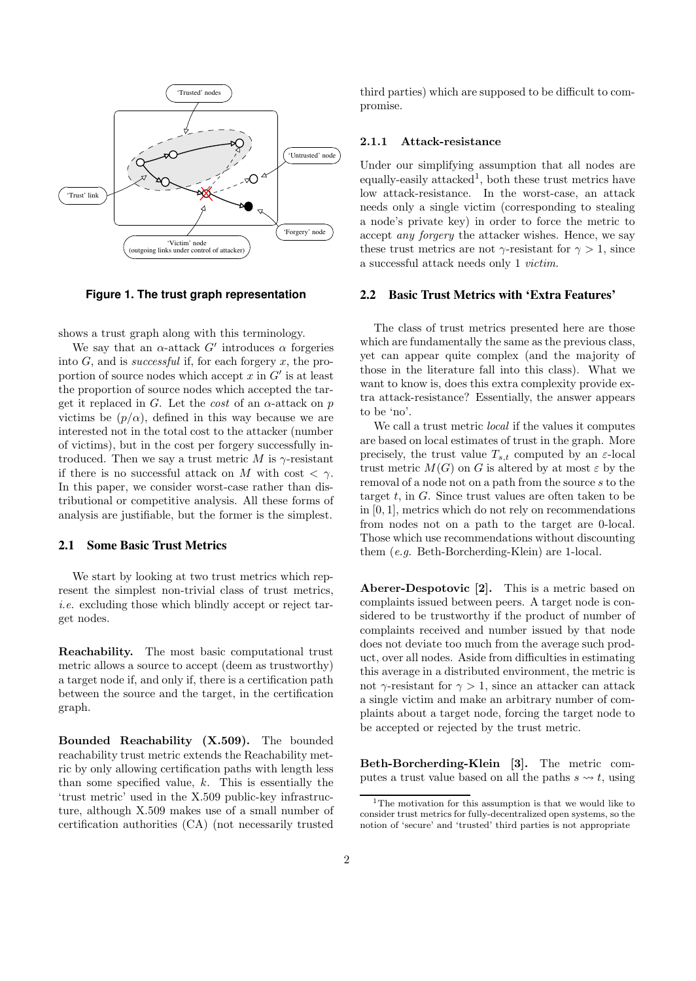

**Figure 1. The trust graph representation**

shows a trust graph along with this terminology.

We say that an  $\alpha$ -attack G' introduces  $\alpha$  forgeries into  $G$ , and is *successful* if, for each forgery  $x$ , the proportion of source nodes which accept  $x$  in  $G'$  is at least the proportion of source nodes which accepted the target it replaced in G. Let the *cost* of an  $\alpha$ -attack on p victims be  $(p/\alpha)$ , defined in this way because we are interested not in the total cost to the attacker (number of victims), but in the cost per forgery successfully introduced. Then we say a trust metric M is  $\gamma$ -resistant if there is no successful attack on M with cost  $\langle \gamma \rangle$ . In this paper, we consider worst-case rather than distributional or competitive analysis. All these forms of analysis are justifiable, but the former is the simplest.

## **2.1 Some Basic Trust Metrics**

We start by looking at two trust metrics which represent the simplest non-trivial class of trust metrics, i.e. excluding those which blindly accept or reject target nodes.

Reachability. The most basic computational trust metric allows a source to accept (deem as trustworthy) a target node if, and only if, there is a certification path between the source and the target, in the certification graph.

Bounded Reachability (X.509). The bounded reachability trust metric extends the Reachability metric by only allowing certification paths with length less than some specified value,  $k$ . This is essentially the 'trust metric' used in the X.509 public-key infrastructure, although X.509 makes use of a small number of certification authorities (CA) (not necessarily trusted

third parties) which are supposed to be difficult to compromise.

#### 2.1.1 Attack-resistance

Under our simplifying assumption that all nodes are equally-easily attacked<sup>1</sup>, both these trust metrics have low attack-resistance. In the worst-case, an attack needs only a single victim (corresponding to stealing a node's private key) in order to force the metric to accept any forgery the attacker wishes. Hence, we say these trust metrics are not  $\gamma$ -resistant for  $\gamma > 1$ , since a successful attack needs only 1 victim.

## **2.2 Basic Trust Metrics with 'Extra Features'**

The class of trust metrics presented here are those which are fundamentally the same as the previous class, yet can appear quite complex (and the majority of those in the literature fall into this class). What we want to know is, does this extra complexity provide extra attack-resistance? Essentially, the answer appears to be 'no'.

We call a trust metric local if the values it computes are based on local estimates of trust in the graph. More precisely, the trust value  $T_{s,t}$  computed by an  $\varepsilon$ -local trust metric  $M(G)$  on G is altered by at most  $\varepsilon$  by the removal of a node not on a path from the source s to the target  $t$ , in  $G$ . Since trust values are often taken to be in [0, 1], metrics which do not rely on recommendations from nodes not on a path to the target are 0-local. Those which use recommendations without discounting them (e.g. Beth-Borcherding-Klein) are 1-local.

Aberer-Despotovic [2]. This is a metric based on complaints issued between peers. A target node is considered to be trustworthy if the product of number of complaints received and number issued by that node does not deviate too much from the average such product, over all nodes. Aside from difficulties in estimating this average in a distributed environment, the metric is not  $\gamma$ -resistant for  $\gamma > 1$ , since an attacker can attack a single victim and make an arbitrary number of complaints about a target node, forcing the target node to be accepted or rejected by the trust metric.

Beth-Borcherding-Klein [3]. The metric computes a trust value based on all the paths  $s \leftrightarrow t$ , using

 $\rm ^1The$  motivation for this assumption is that we would like to consider trust metrics for fully-decentralized open systems, so the notion of 'secure' and 'trusted' third parties is not appropriate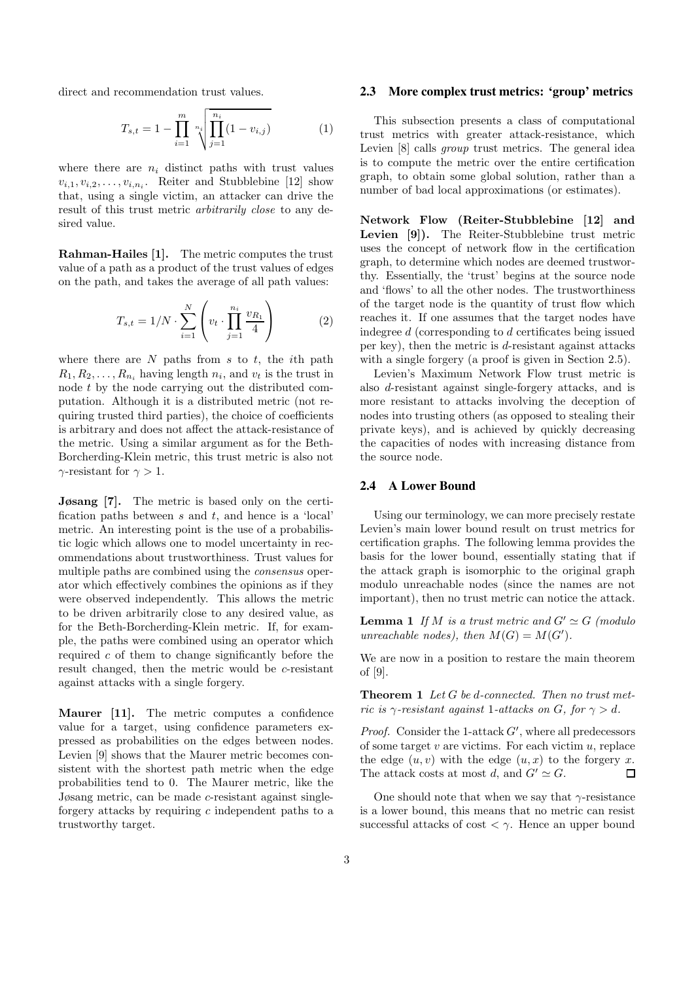direct and recommendation trust values.

$$
T_{s,t} = 1 - \prod_{i=1}^{m} \sqrt[n_i]{\prod_{j=1}^{n_i} (1 - v_{i,j})}
$$
 (1)

where there are  $n_i$  distinct paths with trust values  $v_{i,1}, v_{i,2}, \ldots, v_{i,n_i}$ . Reiter and Stubblebine [12] show that, using a single victim, an attacker can drive the result of this trust metric *arbitrarily close* to any desired value.

Rahman-Hailes [1]. The metric computes the trust value of a path as a product of the trust values of edges on the path, and takes the average of all path values:

$$
T_{s,t} = 1/N \cdot \sum_{i=1}^{N} \left( v_t \cdot \prod_{j=1}^{n_i} \frac{v_{R_1}}{4} \right)
$$
 (2)

where there are  $N$  paths from  $s$  to  $t$ , the *i*th path  $R_1, R_2, \ldots, R_{n_i}$  having length  $n_i$ , and  $v_t$  is the trust in node t by the node carrying out the distributed computation. Although it is a distributed metric (not requiring trusted third parties), the choice of coefficients is arbitrary and does not affect the attack-resistance of the metric. Using a similar argument as for the Beth-Borcherding-Klein metric, this trust metric is also not  $\gamma$ -resistant for  $\gamma > 1$ .

Jøsang [7]. The metric is based only on the certification paths between  $s$  and  $t$ , and hence is a 'local' metric. An interesting point is the use of a probabilistic logic which allows one to model uncertainty in recommendations about trustworthiness. Trust values for multiple paths are combined using the consensus operator which effectively combines the opinions as if they were observed independently. This allows the metric to be driven arbitrarily close to any desired value, as for the Beth-Borcherding-Klein metric. If, for example, the paths were combined using an operator which required  $c$  of them to change significantly before the result changed, then the metric would be c-resistant against attacks with a single forgery.

Maurer [11]. The metric computes a confidence value for a target, using confidence parameters expressed as probabilities on the edges between nodes. Levien [9] shows that the Maurer metric becomes consistent with the shortest path metric when the edge probabilities tend to 0. The Maurer metric, like the Jøsang metric, can be made c-resistant against singleforgery attacks by requiring  $c$  independent paths to a trustworthy target.

#### **2.3 More complex trust metrics: 'group' metrics**

This subsection presents a class of computational trust metrics with greater attack-resistance, which Levien [8] calls group trust metrics. The general idea is to compute the metric over the entire certification graph, to obtain some global solution, rather than a number of bad local approximations (or estimates).

Network Flow (Reiter-Stubblebine [12] and Levien [9]). The Reiter-Stubblebine trust metric uses the concept of network flow in the certification graph, to determine which nodes are deemed trustworthy. Essentially, the 'trust' begins at the source node and 'flows' to all the other nodes. The trustworthiness of the target node is the quantity of trust flow which reaches it. If one assumes that the target nodes have indegree d (corresponding to d certificates being issued per key), then the metric is  $d$ -resistant against attacks with a single forgery (a proof is given in Section 2.5).

Levien's Maximum Network Flow trust metric is also d-resistant against single-forgery attacks, and is more resistant to attacks involving the deception of nodes into trusting others (as opposed to stealing their private keys), and is achieved by quickly decreasing the capacities of nodes with increasing distance from the source node.

#### **2.4 A Lower Bound**

Using our terminology, we can more precisely restate Levien's main lower bound result on trust metrics for certification graphs. The following lemma provides the basis for the lower bound, essentially stating that if the attack graph is isomorphic to the original graph modulo unreachable nodes (since the names are not important), then no trust metric can notice the attack.

**Lemma 1** If M is a trust metric and  $G' \simeq G$  (modulo unreachable nodes), then  $M(G) = M(G')$ .

We are now in a position to restare the main theorem of [9].

**Theorem 1** Let  $G$  be d-connected. Then no trust metric is  $\gamma$ -resistant against 1-attacks on G, for  $\gamma > d$ .

*Proof.* Consider the 1-attack  $G'$ , where all predecessors of some target  $v$  are victims. For each victim  $u$ , replace the edge  $(u, v)$  with the edge  $(u, x)$  to the forgery x. The attack costs at most d, and  $G' \simeq G$ .  $\Box$ 

One should note that when we say that  $\gamma$ -resistance is a lower bound, this means that no metric can resist successful attacks of cost  $\langle \gamma \rangle$ . Hence an upper bound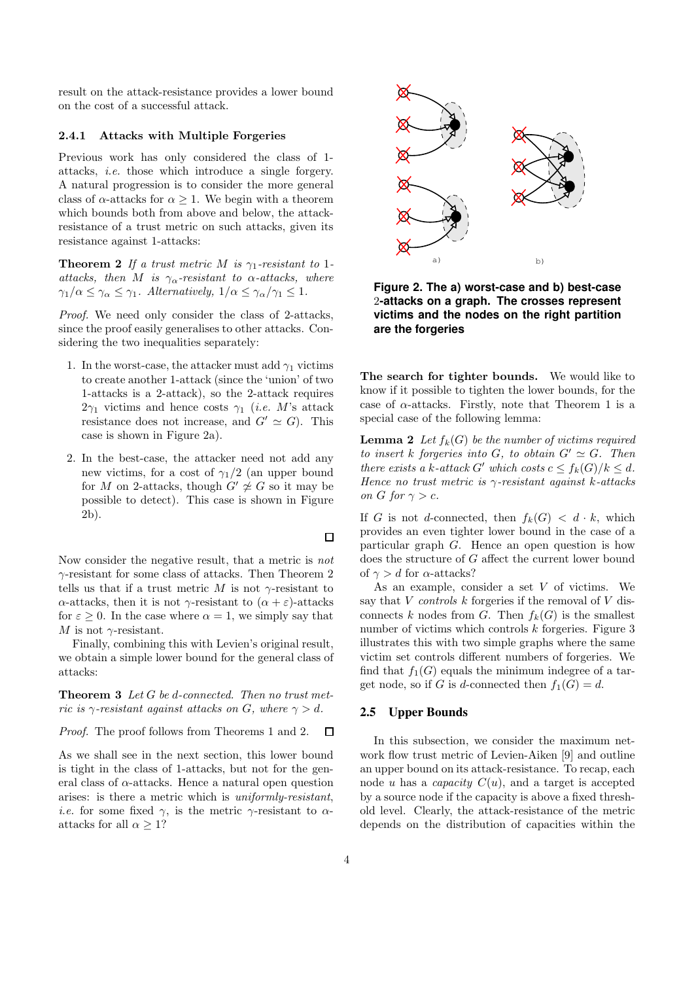result on the attack-resistance provides a lower bound on the cost of a successful attack.

#### 2.4.1 Attacks with Multiple Forgeries

Previous work has only considered the class of 1 attacks, i.e. those which introduce a single forgery. A natural progression is to consider the more general class of  $\alpha$ -attacks for  $\alpha > 1$ . We begin with a theorem which bounds both from above and below, the attackresistance of a trust metric on such attacks, given its resistance against 1-attacks:

**Theorem 2** If a trust metric M is  $\gamma_1$ -resistant to 1attacks, then M is  $\gamma_{\alpha}$ -resistant to  $\alpha$ -attacks, where  $\gamma_1/\alpha \leq \gamma_\alpha \leq \gamma_1$ . Alternatively,  $1/\alpha \leq \gamma_\alpha/\gamma_1 \leq 1$ .

Proof. We need only consider the class of 2-attacks, since the proof easily generalises to other attacks. Considering the two inequalities separately:

- 1. In the worst-case, the attacker must add  $\gamma_1$  victims to create another 1-attack (since the 'union' of two 1-attacks is a 2-attack), so the 2-attack requires  $2\gamma_1$  victims and hence costs  $\gamma_1$  (*i.e.* M's attack resistance does not increase, and  $G' \simeq G$ ). This case is shown in Figure 2a).
- 2. In the best-case, the attacker need not add any new victims, for a cost of  $\gamma_1/2$  (an upper bound for M on 2-attacks, though  $G' \not\cong G$  so it may be possible to detect). This case is shown in Figure 2b).

Now consider the negative result, that a metric is not  $\gamma$ -resistant for some class of attacks. Then Theorem 2 tells us that if a trust metric M is not  $\gamma$ -resistant to α-attacks, then it is not  $\gamma$ -resistant to  $(α + ε)$ -attacks for  $\varepsilon \geq 0$ . In the case where  $\alpha = 1$ , we simply say that M is not  $\gamma$ -resistant.

Finally, combining this with Levien's original result, we obtain a simple lower bound for the general class of attacks:

**Theorem 3** Let  $G$  be d-connected. Then no trust metric is  $\gamma$ -resistant against attacks on G, where  $\gamma > d$ .

Proof. The proof follows from Theorems 1 and 2.  $\Box$ 

As we shall see in the next section, this lower bound is tight in the class of 1-attacks, but not for the general class of  $\alpha$ -attacks. Hence a natural open question arises: is there a metric which is uniformly-resistant, *i.e.* for some fixed  $\gamma$ , is the metric  $\gamma$ -resistant to  $\alpha$ attacks for all  $\alpha > 1$ ?



**Figure 2. The a) worst-case and b) best-case** 2**-attacks on a graph. The crosses represent victims and the nodes on the right partition are the forgeries**

The search for tighter bounds. We would like to know if it possible to tighten the lower bounds, for the case of  $\alpha$ -attacks. Firstly, note that Theorem 1 is a special case of the following lemma:

**Lemma 2** Let  $f_k(G)$  be the number of victims required to insert k forgeries into G, to obtain  $G' \simeq G$ . Then there exists a k-attack G' which costs  $c \leq f_k(G)/k \leq d$ . Hence no trust metric is  $\gamma$ -resistant against k-attacks on G for  $\gamma > c$ .

If G is not d-connected, then  $f_k(G) < d \cdot k$ , which provides an even tighter lower bound in the case of a particular graph G. Hence an open question is how does the structure of G affect the current lower bound of  $\gamma > d$  for  $\alpha$ -attacks?

As an example, consider a set  $V$  of victims. We say that  $V$  *controls*  $k$  forgeries if the removal of  $V$  disconnects k nodes from G. Then  $f_k(G)$  is the smallest number of victims which controls  $k$  forgeries. Figure 3 illustrates this with two simple graphs where the same victim set controls different numbers of forgeries. We find that  $f_1(G)$  equals the minimum indegree of a target node, so if G is d-connected then  $f_1(G) = d$ .

### **2.5 Upper Bounds**

In this subsection, we consider the maximum network flow trust metric of Levien-Aiken [9] and outline an upper bound on its attack-resistance. To recap, each node u has a *capacity*  $C(u)$ , and a target is accepted by a source node if the capacity is above a fixed threshold level. Clearly, the attack-resistance of the metric depends on the distribution of capacities within the

 $\Box$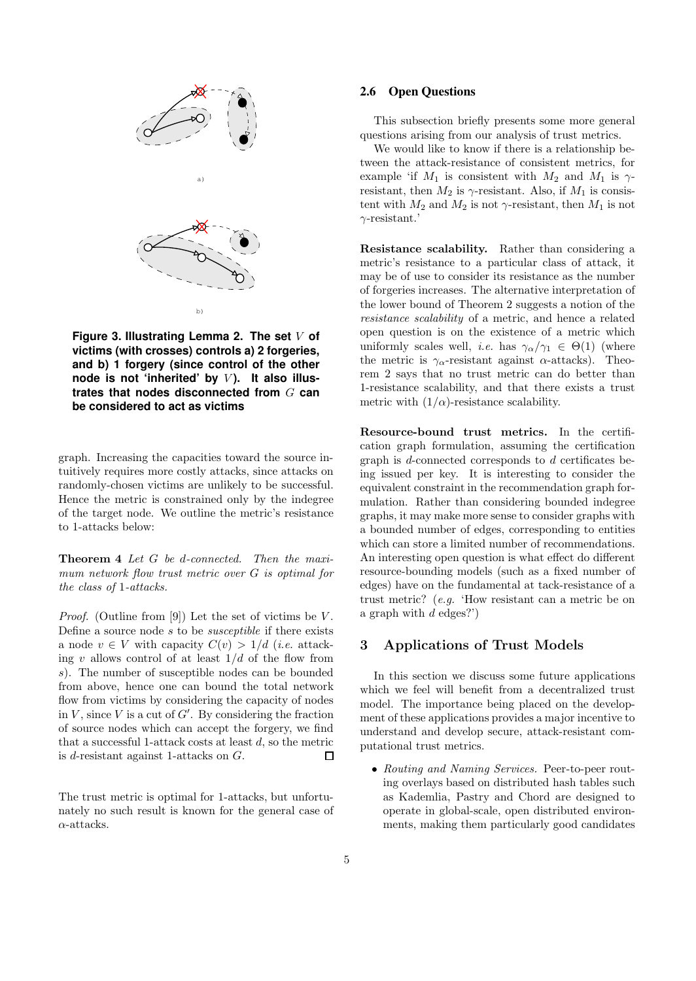

**Figure 3. Illustrating Lemma 2. The set** V **of victims (with crosses) controls a) 2 forgeries, and b) 1 forgery (since control of the other node is not 'inherited' by** V **). It also illustrates that nodes disconnected from** G **can be considered to act as victims**

graph. Increasing the capacities toward the source intuitively requires more costly attacks, since attacks on randomly-chosen victims are unlikely to be successful. Hence the metric is constrained only by the indegree of the target node. We outline the metric's resistance to 1-attacks below:

Theorem 4 Let G be d-connected. Then the maximum network flow trust metric over G is optimal for the class of 1-attacks.

*Proof.* (Outline from [9]) Let the set of victims be  $V$ . Define a source node  $s$  to be *susceptible* if there exists a node  $v \in V$  with capacity  $C(v) > 1/d$  (*i.e.* attacking v allows control of at least  $1/d$  of the flow from s). The number of susceptible nodes can be bounded from above, hence one can bound the total network flow from victims by considering the capacity of nodes in  $V$ , since  $V$  is a cut of  $G'$ . By considering the fraction of source nodes which can accept the forgery, we find that a successful 1-attack costs at least  $d$ , so the metric is d-resistant against 1-attacks on G.  $\Box$ 

The trust metric is optimal for 1-attacks, but unfortunately no such result is known for the general case of  $\alpha$ -attacks.

## **2.6 Open Questions**

This subsection briefly presents some more general questions arising from our analysis of trust metrics.

We would like to know if there is a relationship between the attack-resistance of consistent metrics, for example 'if  $M_1$  is consistent with  $M_2$  and  $M_1$  is  $\gamma$ resistant, then  $M_2$  is  $\gamma$ -resistant. Also, if  $M_1$  is consistent with  $M_2$  and  $M_2$  is not  $\gamma$ -resistant, then  $M_1$  is not  $\gamma$ -resistant.'

Resistance scalability. Rather than considering a metric's resistance to a particular class of attack, it may be of use to consider its resistance as the number of forgeries increases. The alternative interpretation of the lower bound of Theorem 2 suggests a notion of the resistance scalability of a metric, and hence a related open question is on the existence of a metric which uniformly scales well, *i.e.* has  $\gamma_{\alpha}/\gamma_1 \in \Theta(1)$  (where the metric is  $\gamma_{\alpha}$ -resistant against  $\alpha$ -attacks). Theorem 2 says that no trust metric can do better than 1-resistance scalability, and that there exists a trust metric with  $(1/\alpha)$ -resistance scalability.

Resource-bound trust metrics. In the certification graph formulation, assuming the certification graph is d-connected corresponds to d certificates being issued per key. It is interesting to consider the equivalent constraint in the recommendation graph formulation. Rather than considering bounded indegree graphs, it may make more sense to consider graphs with a bounded number of edges, corresponding to entities which can store a limited number of recommendations. An interesting open question is what effect do different resource-bounding models (such as a fixed number of edges) have on the fundamental at tack-resistance of a trust metric? (e.g. 'How resistant can a metric be on a graph with  $d$  edges?')

# 3 Applications of Trust Models

In this section we discuss some future applications which we feel will benefit from a decentralized trust model. The importance being placed on the development of these applications provides a major incentive to understand and develop secure, attack-resistant computational trust metrics.

• Routing and Naming Services. Peer-to-peer routing overlays based on distributed hash tables such as Kademlia, Pastry and Chord are designed to operate in global-scale, open distributed environments, making them particularly good candidates